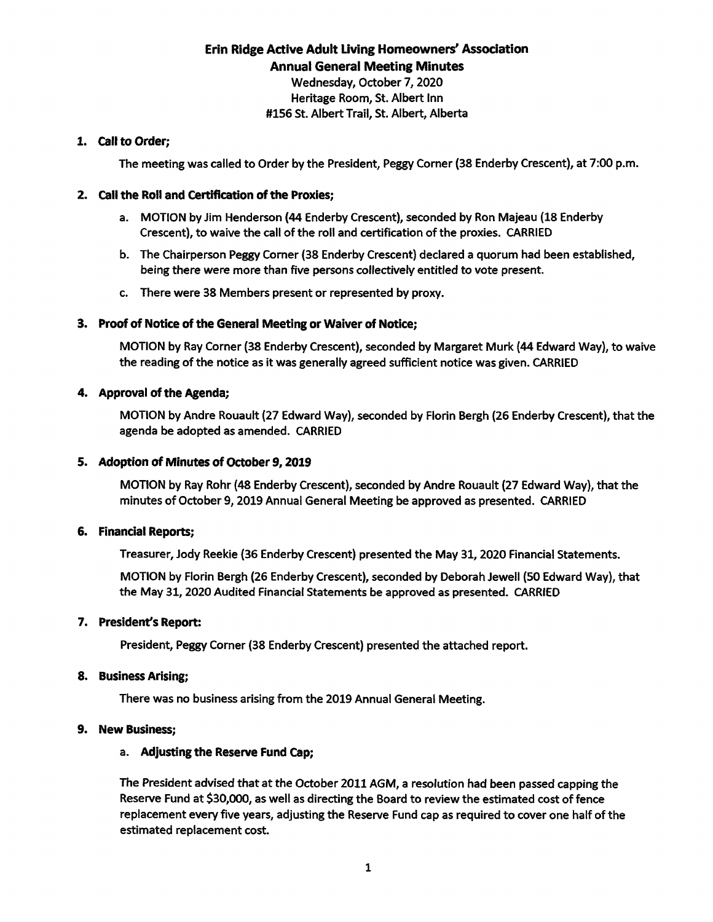# Erin Ridge Active Adult Living Homeowners' Association Annual General Meeting Minutes Wednesday, October 7, 2020 Heritage Room, St. Albert inn

#### #156 St. Albert Trail, St. Albert, Alberta

## 1. Call to Order;

The meeting was called to Order by the President, Peggy Corner (38 Enderby Crescent), at 7:00 p.m.

# 2. Call the Roll and Certification of the Proxies;

- a. MOTION by Jim Henderson (44 Enderby Crescent), seconded by Ron Majeau (18 Enderby Crescent), to waive the call of the roll and certification of the proxies. CARRIED
- b. The Chairperson Peggy Corner (38 Enderby Crescent) declared quorum had been established, being there were more than five persons collectively entitled to vote present.
- c. There were 38 Members present or represented by proxy.

## 3. Proof of Notice of the General Meeting or Waiver of Notice;

MOTION by Ray Corner (38 Enderby Crescent), seconded by Margaret Murk (44 Edward Way), to waive the reading of the notice as it was generally agreed sufficient notice was given. CARRIED

## 4. Approval of the Agenda;

MOTION by Andre Rouault (27 Edward Way), seconded by Florin Bergh (26 Enderby Crescent), that the agenda be adopted as amended. CARRIED

# 5. Adoption of Minutes of October 9, 2019

MOTION by Ray Rohr (48 Enderby Crescent), seconded by Andre Rouault (27 Edward Way), that the minutes of October 9, 2019 Annual General Meeting be approved as presented. CARRIED

#### 6. Financial Reports;

Treasurer, Jody Reekie (36 Enderby Crescent) presented the May 31, 2020 Financial Statements.

MOTION by Florin Bergh (26 Enderby Crescent), seconded by Deborah Jewell (50 Edward Way), that the May 31, 2020 Audited Financial Statements be approved as presented. CARRIED

#### 7. President's Report:

President, Peggy Corner (38 Enderby Crescent) presented the attached report.

#### 8. Business Arising:

There was no business arising from the 2019 Annual General Meeting.

#### 9. New Business;

#### a. Adjusting the Reserve Fund Cap;

The President advised that at the October 2011 AGM, a resolution had been passed capping the Reserve Fund at \$30,000, as well as directing the Board to review the estimated cost of fence replacement every five years, adjusting the Reserve Fund cap as required to cover one half of the estimated replacement cost.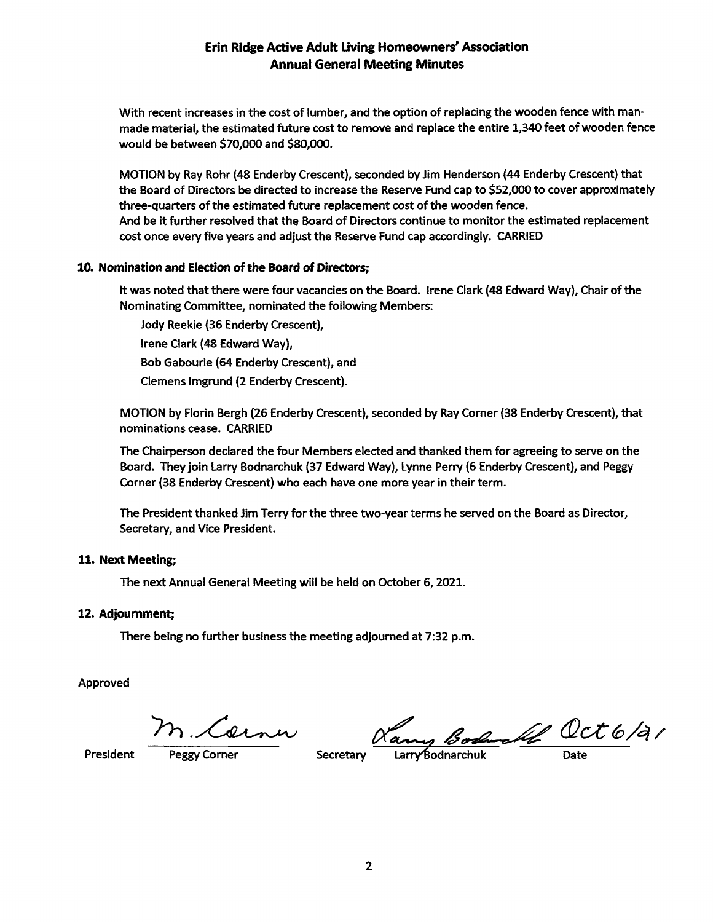# Erin Ridge Active Adult Living Homeowners' Association Annual General Meeting Minutes

With recent increases in the cost of lumber, and the option of replacing the wooden fence with man made material, the estimated future cost to remove and replace the entire 1,340 feet of wooden fence would be between \$70,000 and \$80,000.

MOTION by Ray Rohr (48 Enderby Crescent), seconded by Jim Henderson (44 Enderby Crescent) that the Board of Directors be directed to increase the Reserve Fund cap to \$52,000 to cover approximately three-quarters of the estimated future replacement cost of the wooden fence. And be it further resolved that the Board of Directors continue to monitor the estimated replacement cost once every five years and adjust the Reserve Fund cap accordingly. CARRIED

#### 10. Nomination and Election of the Board of Directors;

It was noted that there were four vacancies on the Board. Irene Clark (48 Edward Way), Chair of the Nominating Committee, nominated the following Members:

Jody Reekie (36 Enderby Crescent), Irene Clark (48 Edward Way), Bob Gabourie (64 Enderby Crescent), and Clemens Imgrund (2 Enderby Crescent).

MOTION by Florin Bergh (26 Enderby Crescent), seconded by Ray Corner (38 Enderby Crescent), that nominations cease. CARRIED

The Chairperson declared the four Members elected and thanked them for agreeing to serve on the Board. They join Larry Bodnarchuk (37 Edward Way), Lynne Perry (6 Enderby Crescent), and Peggy Corner (38 Enderby Crescent) who each have one more year in their term.

The President thanked Jim Terry for the three two-year terms he served on the Board as Director, Secretary, and Vice President.

#### 11. Next Meeting;

The next Annual General Meeting will be held on October 6, 2021.

#### 12. Adjournment;

There being no further business the meeting adjourned at 7:32 p.m.

Approved

n Cerner Ramy Book Oct 6/2/<br>Peggy Corner Secretary Larry Bodnarchuk Date

President Peggy Corner Secretary LarryBodnarchuk Date